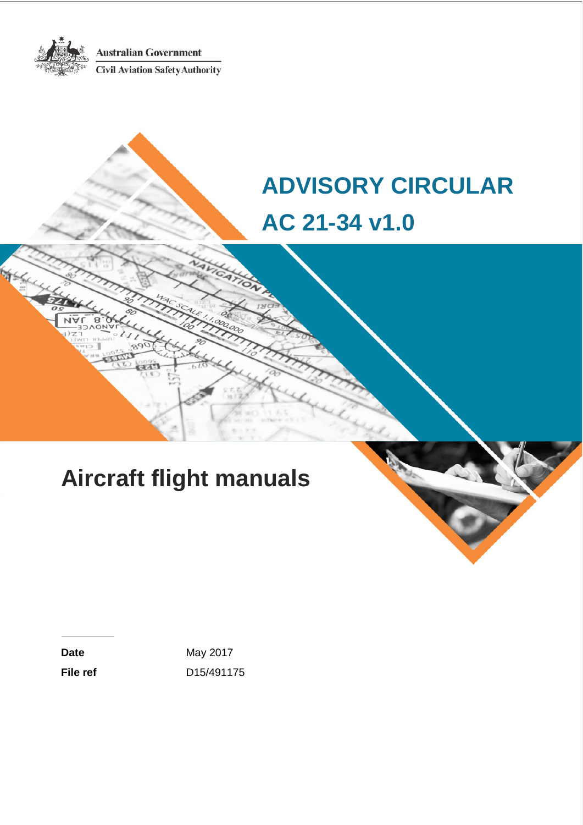**Australian Government** 



Civil Aviation Safety Authority

# **ADVISORY CIRCULAR AC 21-34 v1.0**

# **Aircraft flight manuals**

Date May 2017 **File ref** D15/491175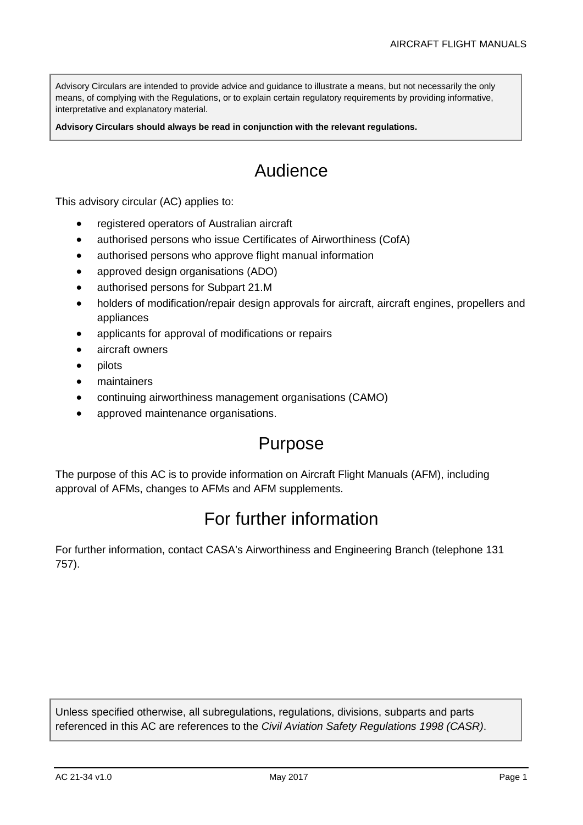Advisory Circulars are intended to provide advice and guidance to illustrate a means, but not necessarily the only means, of complying with the Regulations, or to explain certain regulatory requirements by providing informative, interpretative and explanatory material.

**Advisory Circulars should always be read in conjunction with the relevant regulations.**

# Audience

This advisory circular (AC) applies to:

- registered operators of Australian aircraft
- authorised persons who issue Certificates of Airworthiness (CofA)
- authorised persons who approve flight manual information
- approved design organisations (ADO)
- authorised persons for Subpart 21.M
- holders of modification/repair design approvals for aircraft, aircraft engines, propellers and appliances
- applicants for approval of modifications or repairs
- aircraft owners
- pilots
- maintainers
- continuing airworthiness management organisations (CAMO)
- approved maintenance organisations.

## Purpose

The purpose of this AC is to provide information on Aircraft Flight Manuals (AFM), including approval of AFMs, changes to AFMs and AFM supplements.

# For further information

For further information, contact CASA's Airworthiness and Engineering Branch (telephone 131 757).

Unless specified otherwise, all subregulations, regulations, divisions, subparts and parts referenced in this AC are references to the *Civil Aviation Safety Regulations 1998 (CASR)*.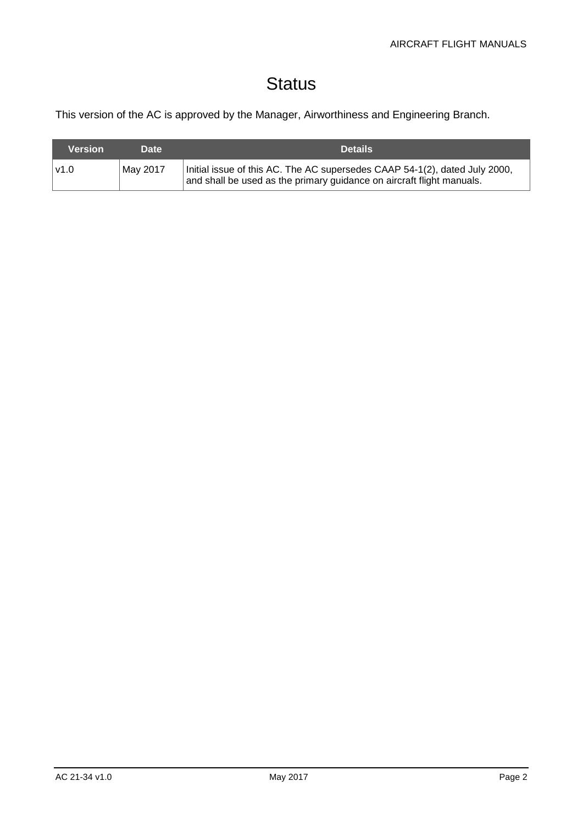# **Status**

This version of the AC is approved by the Manager, Airworthiness and Engineering Branch.

| Version | <b>Date</b> | <b>Details</b>                                                                                                                                      |
|---------|-------------|-----------------------------------------------------------------------------------------------------------------------------------------------------|
| l v1.0  | May 2017    | Initial issue of this AC. The AC supersedes CAAP 54-1(2), dated July 2000,<br>and shall be used as the primary guidance on aircraft flight manuals. |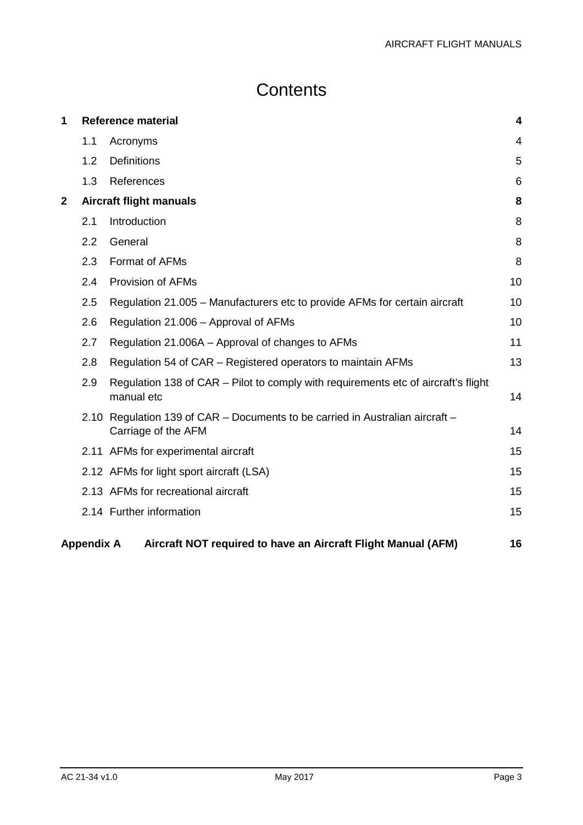# **Contents**

| 1            |                   | <b>Reference material</b>                                                                            | 4  |
|--------------|-------------------|------------------------------------------------------------------------------------------------------|----|
|              | 1.1               | Acronyms                                                                                             | 4  |
|              | 1.2               | <b>Definitions</b>                                                                                   | 5  |
|              | 1.3               | References                                                                                           | 6  |
| $\mathbf{2}$ |                   | <b>Aircraft flight manuals</b>                                                                       | 8  |
|              | 2.1               | Introduction                                                                                         | 8  |
|              | 2.2               | General                                                                                              | 8  |
|              | 2.3               | Format of AFMs                                                                                       | 8  |
|              | 2.4               | <b>Provision of AFMs</b>                                                                             | 10 |
|              | 2.5               | Regulation 21.005 – Manufacturers etc to provide AFMs for certain aircraft                           | 10 |
|              | 2.6               | Regulation 21.006 - Approval of AFMs                                                                 | 10 |
|              | 2.7               | Regulation 21.006A – Approval of changes to AFMs                                                     | 11 |
|              | 2.8               | Regulation 54 of CAR – Registered operators to maintain AFMs                                         | 13 |
|              | 2.9               | Regulation 138 of CAR – Pilot to comply with requirements etc of aircraft's flight<br>manual etc     | 14 |
|              |                   | 2.10 Regulation 139 of CAR - Documents to be carried in Australian aircraft -<br>Carriage of the AFM | 14 |
|              |                   | 2.11 AFMs for experimental aircraft                                                                  | 15 |
|              |                   | 2.12 AFMs for light sport aircraft (LSA)                                                             | 15 |
|              |                   | 2.13 AFMs for recreational aircraft                                                                  | 15 |
|              |                   | 2.14 Further information                                                                             | 15 |
|              | <b>Appendix A</b> | Aircraft NOT required to have an Aircraft Flight Manual (AFM)                                        | 16 |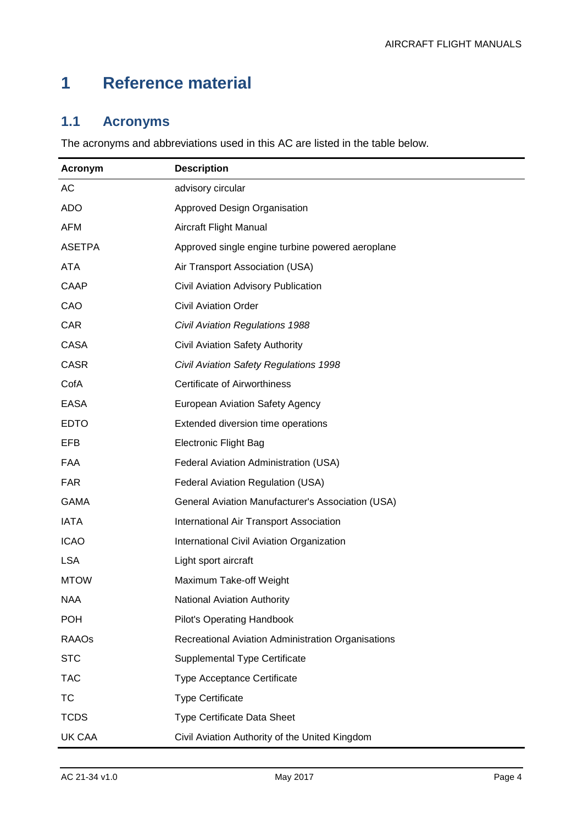# <span id="page-4-0"></span>**1 Reference material**

## <span id="page-4-1"></span>**1.1 Acronyms**

The acronyms and abbreviations used in this AC are listed in the table below.

| Acronym       | <b>Description</b>                                 |
|---------------|----------------------------------------------------|
| AC            | advisory circular                                  |
| <b>ADO</b>    | <b>Approved Design Organisation</b>                |
| <b>AFM</b>    | Aircraft Flight Manual                             |
| <b>ASETPA</b> | Approved single engine turbine powered aeroplane   |
| <b>ATA</b>    | Air Transport Association (USA)                    |
| CAAP          | Civil Aviation Advisory Publication                |
| CAO           | <b>Civil Aviation Order</b>                        |
| <b>CAR</b>    | <b>Civil Aviation Regulations 1988</b>             |
| <b>CASA</b>   | Civil Aviation Safety Authority                    |
| <b>CASR</b>   | Civil Aviation Safety Regulations 1998             |
| CofA          | <b>Certificate of Airworthiness</b>                |
| <b>EASA</b>   | <b>European Aviation Safety Agency</b>             |
| <b>EDTO</b>   | Extended diversion time operations                 |
| EFB           | <b>Electronic Flight Bag</b>                       |
| <b>FAA</b>    | Federal Aviation Administration (USA)              |
| <b>FAR</b>    | Federal Aviation Regulation (USA)                  |
| <b>GAMA</b>   | General Aviation Manufacturer's Association (USA)  |
| <b>IATA</b>   | International Air Transport Association            |
| <b>ICAO</b>   | International Civil Aviation Organization          |
| <b>LSA</b>    | Light sport aircraft                               |
| <b>MTOW</b>   | Maximum Take-off Weight                            |
| NAA           | <b>National Aviation Authority</b>                 |
| <b>POH</b>    | <b>Pilot's Operating Handbook</b>                  |
| <b>RAAOs</b>  | Recreational Aviation Administration Organisations |
| <b>STC</b>    | Supplemental Type Certificate                      |
| <b>TAC</b>    | <b>Type Acceptance Certificate</b>                 |
| ТC            | <b>Type Certificate</b>                            |
| <b>TCDS</b>   | Type Certificate Data Sheet                        |
| <b>UK CAA</b> | Civil Aviation Authority of the United Kingdom     |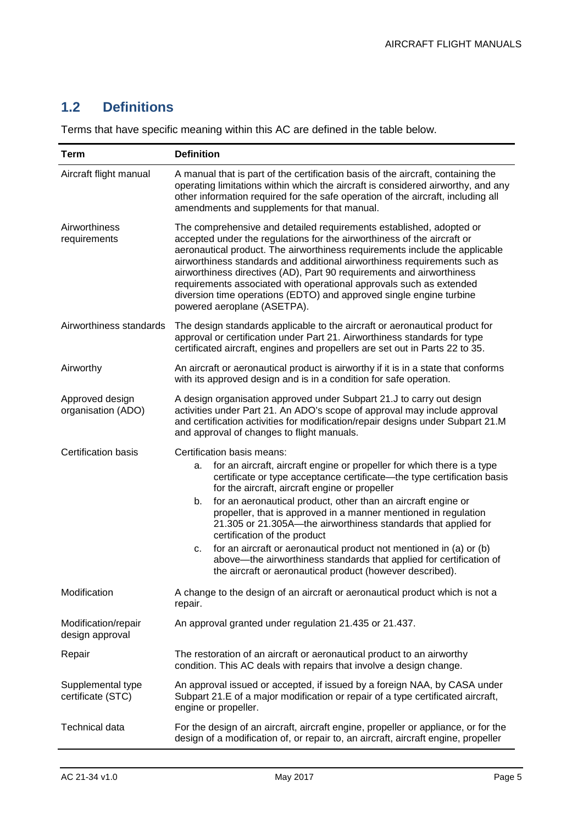## <span id="page-5-0"></span>**1.2 Definitions**

Terms that have specific meaning within this AC are defined in the table below.

| <b>Term</b>                            | <b>Definition</b>                                                                                                                                                                                                                                                                                                                                                                                                                                                                                                                                                                                                                                                                                     |  |  |  |  |
|----------------------------------------|-------------------------------------------------------------------------------------------------------------------------------------------------------------------------------------------------------------------------------------------------------------------------------------------------------------------------------------------------------------------------------------------------------------------------------------------------------------------------------------------------------------------------------------------------------------------------------------------------------------------------------------------------------------------------------------------------------|--|--|--|--|
| Aircraft flight manual                 | A manual that is part of the certification basis of the aircraft, containing the<br>operating limitations within which the aircraft is considered airworthy, and any<br>other information required for the safe operation of the aircraft, including all<br>amendments and supplements for that manual.                                                                                                                                                                                                                                                                                                                                                                                               |  |  |  |  |
| Airworthiness<br>requirements          | The comprehensive and detailed requirements established, adopted or<br>accepted under the regulations for the airworthiness of the aircraft or<br>aeronautical product. The airworthiness requirements include the applicable<br>airworthiness standards and additional airworthiness requirements such as<br>airworthiness directives (AD), Part 90 requirements and airworthiness<br>requirements associated with operational approvals such as extended<br>diversion time operations (EDTO) and approved single engine turbine<br>powered aeroplane (ASETPA).                                                                                                                                      |  |  |  |  |
| Airworthiness standards                | The design standards applicable to the aircraft or aeronautical product for<br>approval or certification under Part 21. Airworthiness standards for type<br>certificated aircraft, engines and propellers are set out in Parts 22 to 35.                                                                                                                                                                                                                                                                                                                                                                                                                                                              |  |  |  |  |
| Airworthy                              | An aircraft or aeronautical product is airworthy if it is in a state that conforms<br>with its approved design and is in a condition for safe operation.                                                                                                                                                                                                                                                                                                                                                                                                                                                                                                                                              |  |  |  |  |
| Approved design<br>organisation (ADO)  | A design organisation approved under Subpart 21.J to carry out design<br>activities under Part 21. An ADO's scope of approval may include approval<br>and certification activities for modification/repair designs under Subpart 21.M<br>and approval of changes to flight manuals.                                                                                                                                                                                                                                                                                                                                                                                                                   |  |  |  |  |
| Certification basis                    | Certification basis means:<br>for an aircraft, aircraft engine or propeller for which there is a type<br>а.<br>certificate or type acceptance certificate—the type certification basis<br>for the aircraft, aircraft engine or propeller<br>for an aeronautical product, other than an aircraft engine or<br>b.<br>propeller, that is approved in a manner mentioned in regulation<br>21.305 or 21.305A—the airworthiness standards that applied for<br>certification of the product<br>for an aircraft or aeronautical product not mentioned in (a) or (b)<br>c.<br>above-the airworthiness standards that applied for certification of<br>the aircraft or aeronautical product (however described). |  |  |  |  |
| Modification                           | A change to the design of an aircraft or aeronautical product which is not a<br>repair.                                                                                                                                                                                                                                                                                                                                                                                                                                                                                                                                                                                                               |  |  |  |  |
| Modification/repair<br>design approval | An approval granted under regulation 21.435 or 21.437.                                                                                                                                                                                                                                                                                                                                                                                                                                                                                                                                                                                                                                                |  |  |  |  |
| Repair                                 | The restoration of an aircraft or aeronautical product to an airworthy<br>condition. This AC deals with repairs that involve a design change.                                                                                                                                                                                                                                                                                                                                                                                                                                                                                                                                                         |  |  |  |  |
| Supplemental type<br>certificate (STC) | An approval issued or accepted, if issued by a foreign NAA, by CASA under<br>Subpart 21.E of a major modification or repair of a type certificated aircraft,<br>engine or propeller.                                                                                                                                                                                                                                                                                                                                                                                                                                                                                                                  |  |  |  |  |
| Technical data                         | For the design of an aircraft, aircraft engine, propeller or appliance, or for the<br>design of a modification of, or repair to, an aircraft, aircraft engine, propeller                                                                                                                                                                                                                                                                                                                                                                                                                                                                                                                              |  |  |  |  |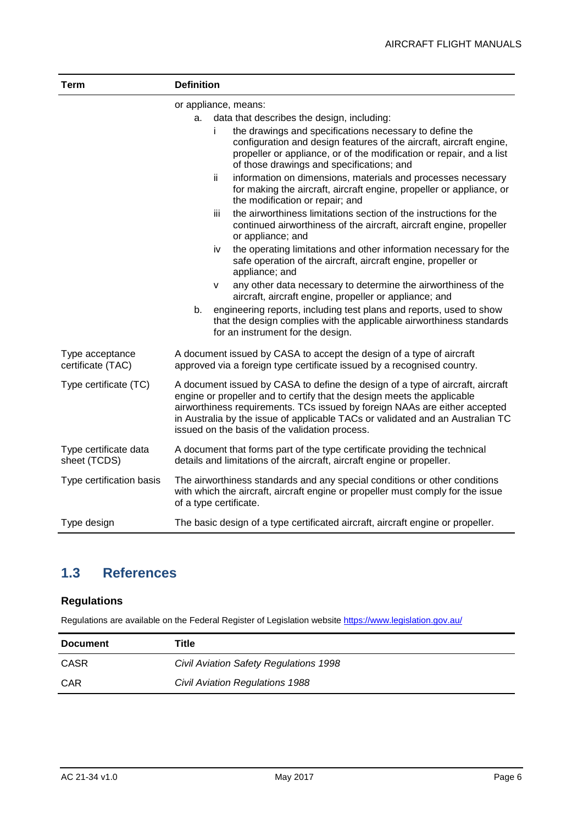| <b>Term</b>                           | <b>Definition</b>                                                                                                                                                                                                                                                                                                                                                                                                                                                                                                                                                                                                                                                                                                                                                                                                                                                                                                                                                                                                                                                                                                                                                                       |  |  |  |  |
|---------------------------------------|-----------------------------------------------------------------------------------------------------------------------------------------------------------------------------------------------------------------------------------------------------------------------------------------------------------------------------------------------------------------------------------------------------------------------------------------------------------------------------------------------------------------------------------------------------------------------------------------------------------------------------------------------------------------------------------------------------------------------------------------------------------------------------------------------------------------------------------------------------------------------------------------------------------------------------------------------------------------------------------------------------------------------------------------------------------------------------------------------------------------------------------------------------------------------------------------|--|--|--|--|
|                                       | or appliance, means:<br>data that describes the design, including:<br>а.<br>the drawings and specifications necessary to define the<br>i.<br>configuration and design features of the aircraft, aircraft engine,<br>propeller or appliance, or of the modification or repair, and a list<br>of those drawings and specifications; and<br>ii<br>information on dimensions, materials and processes necessary<br>for making the aircraft, aircraft engine, propeller or appliance, or<br>the modification or repair; and<br>the airworthiness limitations section of the instructions for the<br>iii<br>continued airworthiness of the aircraft, aircraft engine, propeller<br>or appliance; and<br>the operating limitations and other information necessary for the<br>iv<br>safe operation of the aircraft, aircraft engine, propeller or<br>appliance; and<br>any other data necessary to determine the airworthiness of the<br>v<br>aircraft, aircraft engine, propeller or appliance; and<br>engineering reports, including test plans and reports, used to show<br>b.<br>that the design complies with the applicable airworthiness standards<br>for an instrument for the design. |  |  |  |  |
| Type acceptance<br>certificate (TAC)  | A document issued by CASA to accept the design of a type of aircraft<br>approved via a foreign type certificate issued by a recognised country.                                                                                                                                                                                                                                                                                                                                                                                                                                                                                                                                                                                                                                                                                                                                                                                                                                                                                                                                                                                                                                         |  |  |  |  |
| Type certificate (TC)                 | A document issued by CASA to define the design of a type of aircraft, aircraft<br>engine or propeller and to certify that the design meets the applicable<br>airworthiness requirements. TCs issued by foreign NAAs are either accepted<br>in Australia by the issue of applicable TACs or validated and an Australian TC<br>issued on the basis of the validation process.                                                                                                                                                                                                                                                                                                                                                                                                                                                                                                                                                                                                                                                                                                                                                                                                             |  |  |  |  |
| Type certificate data<br>sheet (TCDS) | A document that forms part of the type certificate providing the technical<br>details and limitations of the aircraft, aircraft engine or propeller.                                                                                                                                                                                                                                                                                                                                                                                                                                                                                                                                                                                                                                                                                                                                                                                                                                                                                                                                                                                                                                    |  |  |  |  |
| Type certification basis              | The airworthiness standards and any special conditions or other conditions<br>with which the aircraft, aircraft engine or propeller must comply for the issue<br>of a type certificate.                                                                                                                                                                                                                                                                                                                                                                                                                                                                                                                                                                                                                                                                                                                                                                                                                                                                                                                                                                                                 |  |  |  |  |
| Type design                           | The basic design of a type certificated aircraft, aircraft engine or propeller.                                                                                                                                                                                                                                                                                                                                                                                                                                                                                                                                                                                                                                                                                                                                                                                                                                                                                                                                                                                                                                                                                                         |  |  |  |  |

### <span id="page-6-0"></span>**1.3 References**

#### **Regulations**

Regulations are available on the Federal Register of Legislation website<https://www.legislation.gov.au/>

| <b>Document</b> | Title                                  |
|-----------------|----------------------------------------|
| <b>CASR</b>     | Civil Aviation Safety Regulations 1998 |
| <b>CAR</b>      | Civil Aviation Regulations 1988        |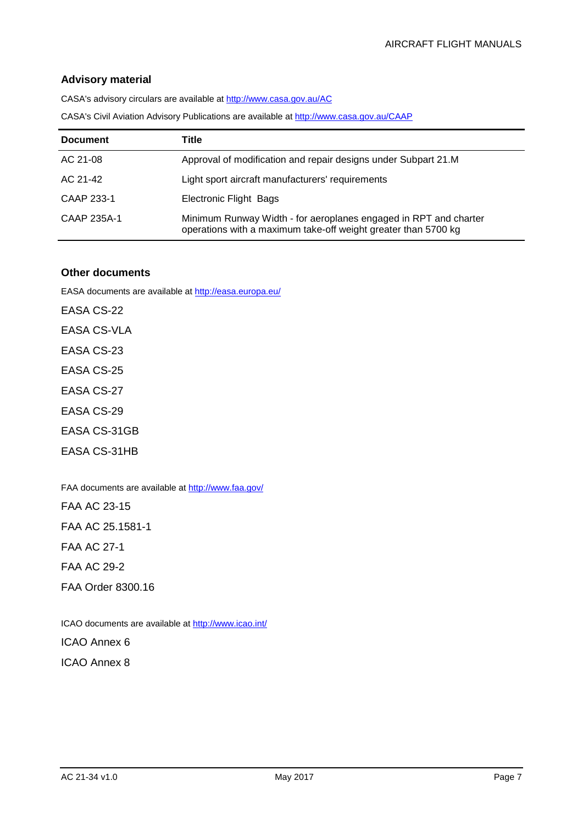#### **Advisory material**

CASA's advisory circulars are available at [http://www.casa.gov.au/AC](http://www.casa.gov.au/ACs)

CASA's Civil Aviation Advisory Publications are available at [http://www.casa.gov.au/CAAP](http://www.casa.gov.au/CAAPs)

| <b>Document</b> | Title                                                                                                                              |
|-----------------|------------------------------------------------------------------------------------------------------------------------------------|
| AC 21-08        | Approval of modification and repair designs under Subpart 21.M                                                                     |
| AC 21-42        | Light sport aircraft manufacturers' requirements                                                                                   |
| CAAP 233-1      | Electronic Flight Bags                                                                                                             |
| CAAP 235A-1     | Minimum Runway Width - for aeroplanes engaged in RPT and charter<br>operations with a maximum take-off weight greater than 5700 kg |

#### **Other documents**

EASA documents are available at<http://easa.europa.eu/>

EASA CS-22 EASA CS-VLA EASA CS-23 EASA CS-25 EASA CS-27 EASA CS-29 EASA CS-31GB

EASA CS-31HB

FAA documents are available a[t http://www.faa.gov/](http://www.faa.gov/)

FAA AC 23-15

FAA AC 25.1581-1

FAA AC 27-1

FAA AC 29-2

FAA Order 8300.16

ICAO documents are available at<http://www.icao.int/> ICAO Annex 6

ICAO Annex 8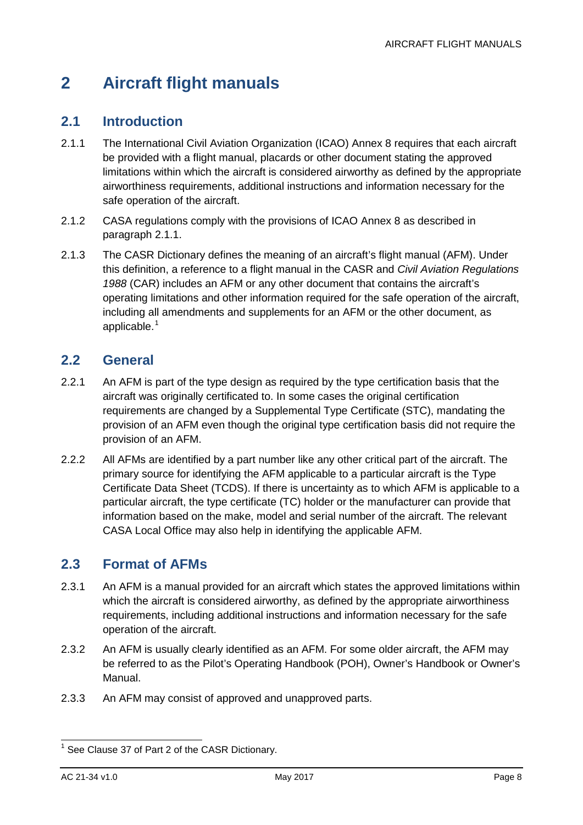# <span id="page-8-0"></span>**2 Aircraft flight manuals**

### <span id="page-8-1"></span>**2.1 Introduction**

- <span id="page-8-4"></span>2.1.1 The International Civil Aviation Organization (ICAO) Annex 8 requires that each aircraft be provided with a flight manual, placards or other document stating the approved limitations within which the aircraft is considered airworthy as defined by the appropriate airworthiness requirements, additional instructions and information necessary for the safe operation of the aircraft.
- 2.1.2 CASA regulations comply with the provisions of ICAO Annex 8 as described in paragraph [2.1.1.](#page-8-4)
- 2.1.3 The CASR Dictionary defines the meaning of an aircraft's flight manual (AFM). Under this definition, a reference to a flight manual in the CASR and *Civil Aviation Regulations 1988* (CAR) includes an AFM or any other document that contains the aircraft's operating limitations and other information required for the safe operation of the aircraft, including all amendments and supplements for an AFM or the other document, as applicable. $<sup>1</sup>$  $<sup>1</sup>$  $<sup>1</sup>$ </sup>

### <span id="page-8-2"></span>**2.2 General**

- 2.2.1 An AFM is part of the type design as required by the type certification basis that the aircraft was originally certificated to. In some cases the original certification requirements are changed by a Supplemental Type Certificate (STC), mandating the provision of an AFM even though the original type certification basis did not require the provision of an AFM.
- 2.2.2 All AFMs are identified by a part number like any other critical part of the aircraft. The primary source for identifying the AFM applicable to a particular aircraft is the Type Certificate Data Sheet (TCDS). If there is uncertainty as to which AFM is applicable to a particular aircraft, the type certificate (TC) holder or the manufacturer can provide that information based on the make, model and serial number of the aircraft. The relevant CASA Local Office may also help in identifying the applicable AFM.

### <span id="page-8-3"></span>**2.3 Format of AFMs**

- 2.3.1 An AFM is a manual provided for an aircraft which states the approved limitations within which the aircraft is considered airworthy, as defined by the appropriate airworthiness requirements, including additional instructions and information necessary for the safe operation of the aircraft.
- 2.3.2 An AFM is usually clearly identified as an AFM. For some older aircraft, the AFM may be referred to as the Pilot's Operating Handbook (POH), Owner's Handbook or Owner's Manual.
- 2.3.3 An AFM may consist of approved and unapproved parts.

<span id="page-8-5"></span> $1$  See Clause 37 of Part 2 of the CASR Dictionary.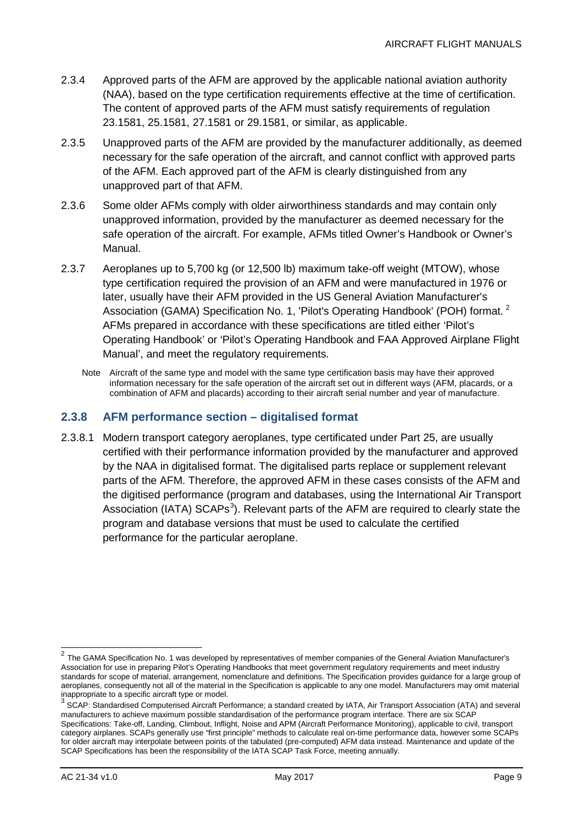- 2.3.4 Approved parts of the AFM are approved by the applicable national aviation authority (NAA), based on the type certification requirements effective at the time of certification. The content of approved parts of the AFM must satisfy requirements of regulation 23.1581, 25.1581, 27.1581 or 29.1581, or similar, as applicable.
- 2.3.5 Unapproved parts of the AFM are provided by the manufacturer additionally, as deemed necessary for the safe operation of the aircraft, and cannot conflict with approved parts of the AFM. Each approved part of the AFM is clearly distinguished from any unapproved part of that AFM.
- 2.3.6 Some older AFMs comply with older airworthiness standards and may contain only unapproved information, provided by the manufacturer as deemed necessary for the safe operation of the aircraft. For example, AFMs titled Owner's Handbook or Owner's Manual.
- 2.3.7 Aeroplanes up to 5,700 kg (or 12,500 lb) maximum take-off weight (MTOW), whose type certification required the provision of an AFM and were manufactured in 1976 or later, usually have their AFM provided in the US General Aviation Manufacturer's Association (GAMA) Specification No. 1, 'Pilot's Operating Handbook' (POH) format.<sup>[2](#page-9-0)</sup> AFMs prepared in accordance with these specifications are titled either 'Pilot's Operating Handbook' or 'Pilot's Operating Handbook and FAA Approved Airplane Flight Manual', and meet the regulatory requirements.
	- Note Aircraft of the same type and model with the same type certification basis may have their approved information necessary for the safe operation of the aircraft set out in different ways (AFM, placards, or a combination of AFM and placards) according to their aircraft serial number and year of manufacture.

#### **2.3.8 AFM performance section – digitalised format**

2.3.8.1 Modern transport category aeroplanes, type certificated under Part 25, are usually certified with their performance information provided by the manufacturer and approved by the NAA in digitalised format. The digitalised parts replace or supplement relevant parts of the AFM. Therefore, the approved AFM in these cases consists of the AFM and the digitised performance (program and databases, using the International Air Transport Association (IATA) SCAPs<sup>[3](#page-9-1)</sup>). Relevant parts of the AFM are required to clearly state the program and database versions that must be used to calculate the certified performance for the particular aeroplane.

<span id="page-9-0"></span> <sup>2</sup> The GAMA Specification No. 1 was developed by representatives of member companies of the General Aviation Manufacturer's Association for use in preparing Pilot's Operating Handbooks that meet government regulatory requirements and meet industry standards for scope of material, arrangement, nomenclature and definitions. The Specification provides guidance for a large group of aeroplanes, consequently not all of the material in the Specification is applicable to any one model. Manufacturers may omit material inappropriate to a specific aircraft type or model.

<span id="page-9-1"></span><sup>3</sup> SCAP: Standardised Computerised Aircraft Performance; a standard created by IATA, Air Transport Association (ATA) and several manufacturers to achieve maximum possible standardisation of the performance program interface. There are six SCAP Specifications: Take-off, Landing, Climbout, Inflight, Noise and APM (Aircraft Performance Monitoring), applicable to civil, transport category airplanes. SCAPs generally use "first principle" methods to calculate real on-time performance data, however some SCAPs for older aircraft may interpolate between points of the tabulated (pre-computed) AFM data instead. Maintenance and update of the SCAP Specifications has been the responsibility of the IATA SCAP Task Force, meeting annually.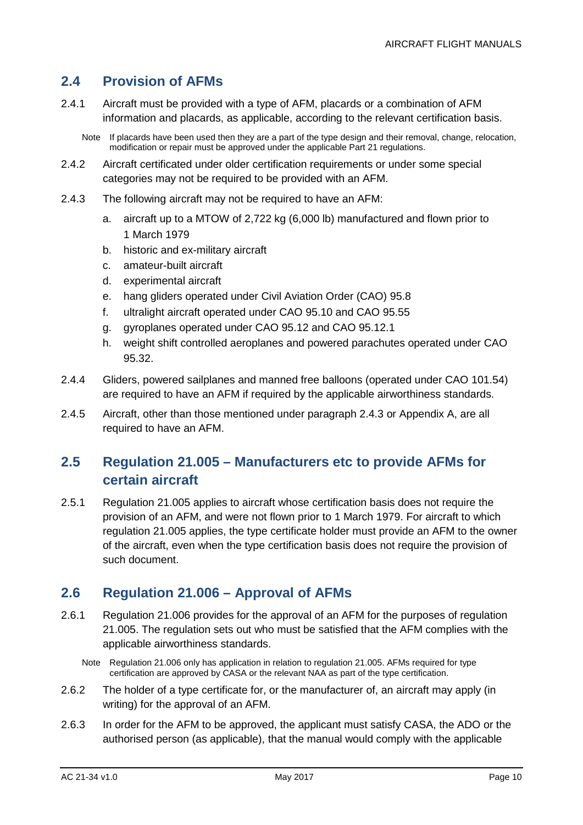#### <span id="page-10-0"></span>**2.4 Provision of AFMs**

2.4.1 Aircraft must be provided with a type of AFM, placards or a combination of AFM information and placards, as applicable, according to the relevant certification basis.

Note If placards have been used then they are a part of the type design and their removal, change, relocation, modification or repair must be approved under the applicable Part 21 regulations.

- 2.4.2 Aircraft certificated under older certification requirements or under some special categories may not be required to be provided with an AFM.
- <span id="page-10-3"></span>2.4.3 The following aircraft may not be required to have an AFM:
	- a. aircraft up to a MTOW of 2,722 kg (6,000 lb) manufactured and flown prior to 1 March 1979
	- b. historic and ex-military aircraft
	- c. amateur-built aircraft
	- d. experimental aircraft
	- e. hang gliders operated under Civil Aviation Order (CAO) 95.8
	- f. ultralight aircraft operated under CAO 95.10 and CAO 95.55
	- g. gyroplanes operated under CAO 95.12 and CAO 95.12.1
	- h. weight shift controlled aeroplanes and powered parachutes operated under CAO 95.32.
- 2.4.4 Gliders, powered sailplanes and manned free balloons (operated under CAO 101.54) are required to have an AFM if required by the applicable airworthiness standards.
- 2.4.5 Aircraft, other than those mentioned under paragraph [2.4.3](#page-10-3) or [Appendix A,](#page-16-0) are all required to have an AFM.

### <span id="page-10-1"></span>**2.5 Regulation 21.005 – Manufacturers etc to provide AFMs for certain aircraft**

2.5.1 Regulation 21.005 applies to aircraft whose certification basis does not require the provision of an AFM, and were not flown prior to 1 March 1979. For aircraft to which regulation 21.005 applies, the type certificate holder must provide an AFM to the owner of the aircraft, even when the type certification basis does not require the provision of such document.

#### <span id="page-10-2"></span>**2.6 Regulation 21.006 – Approval of AFMs**

- 2.6.1 Regulation 21.006 provides for the approval of an AFM for the purposes of regulation 21.005. The regulation sets out who must be satisfied that the AFM complies with the applicable airworthiness standards.
	- Note Regulation 21,006 only has application in relation to regulation 21,005. AFMs reguired for type certification are approved by CASA or the relevant NAA as part of the type certification.
- 2.6.2 The holder of a type certificate for, or the manufacturer of, an aircraft may apply (in writing) for the approval of an AFM.
- 2.6.3 In order for the AFM to be approved, the applicant must satisfy CASA, the ADO or the authorised person (as applicable), that the manual would comply with the applicable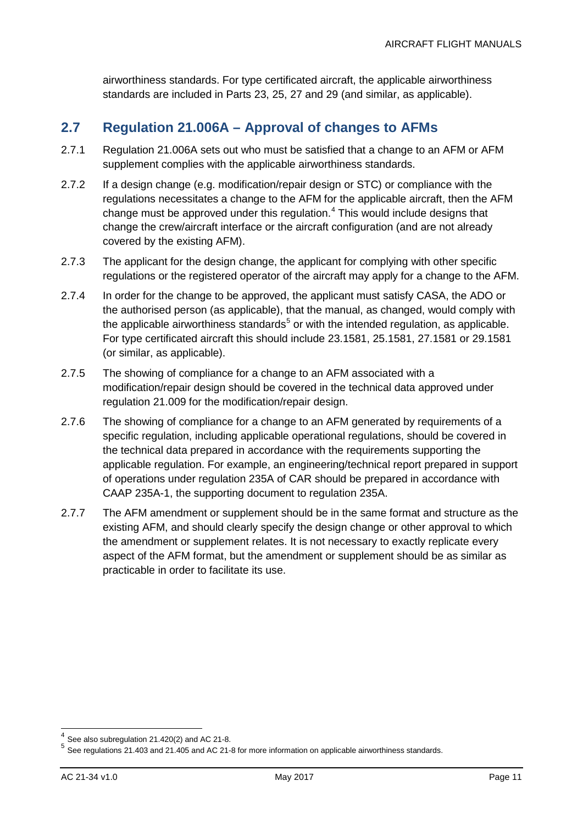airworthiness standards. For type certificated aircraft, the applicable airworthiness standards are included in Parts 23, 25, 27 and 29 (and similar, as applicable).

### <span id="page-11-0"></span>**2.7 Regulation 21.006A – Approval of changes to AFMs**

- 2.7.1 Regulation 21.006A sets out who must be satisfied that a change to an AFM or AFM supplement complies with the applicable airworthiness standards.
- 2.7.2 If a design change (e.g. modification/repair design or STC) or compliance with the regulations necessitates a change to the AFM for the applicable aircraft, then the AFM change must be approved under this regulation. $4$  This would include designs that change the crew/aircraft interface or the aircraft configuration (and are not already covered by the existing AFM).
- 2.7.3 The applicant for the design change, the applicant for complying with other specific regulations or the registered operator of the aircraft may apply for a change to the AFM.
- 2.7.4 In order for the change to be approved, the applicant must satisfy CASA, the ADO or the authorised person (as applicable), that the manual, as changed, would comply with the applicable airworthiness standards<sup>[5](#page-11-2)</sup> or with the intended regulation, as applicable. For type certificated aircraft this should include 23.1581, 25.1581, 27.1581 or 29.1581 (or similar, as applicable).
- 2.7.5 The showing of compliance for a change to an AFM associated with a modification/repair design should be covered in the technical data approved under regulation 21.009 for the modification/repair design.
- 2.7.6 The showing of compliance for a change to an AFM generated by requirements of a specific regulation, including applicable operational regulations, should be covered in the technical data prepared in accordance with the requirements supporting the applicable regulation. For example, an engineering/technical report prepared in support of operations under regulation 235A of CAR should be prepared in accordance with CAAP 235A-1, the supporting document to regulation 235A.
- 2.7.7 The AFM amendment or supplement should be in the same format and structure as the existing AFM, and should clearly specify the design change or other approval to which the amendment or supplement relates. It is not necessary to exactly replicate every aspect of the AFM format, but the amendment or supplement should be as similar as practicable in order to facilitate its use.

<span id="page-11-2"></span><span id="page-11-1"></span><sup>&</sup>lt;sup>4</sup> See also subregulation 21.420(2) and AC 21-8.<br><sup>5</sup> See regulations 21.403 and 21.405 and AC 21-8 for more information on applicable airworthiness standards.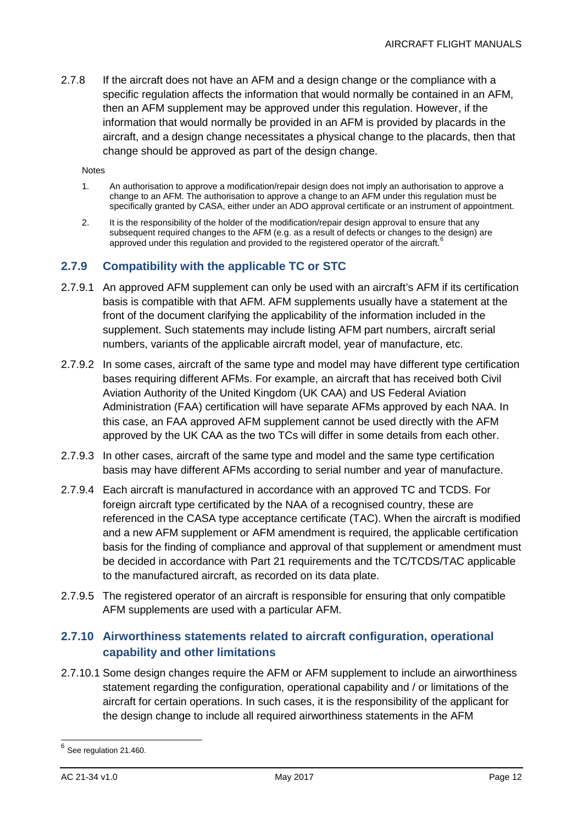2.7.8 If the aircraft does not have an AFM and a design change or the compliance with a specific regulation affects the information that would normally be contained in an AFM, then an AFM supplement may be approved under this regulation. However, if the information that would normally be provided in an AFM is provided by placards in the aircraft, and a design change necessitates a physical change to the placards, then that change should be approved as part of the design change.

Notes

- 1. An authorisation to approve a modification/repair design does not imply an authorisation to approve a change to an AFM. The authorisation to approve a change to an AFM under this regulation must be specifically granted by CASA, either under an ADO approval certificate or an instrument of appointment.
- 2. It is the responsibility of the holder of the modification/repair design approval to ensure that any subsequent required changes to the AFM (e.g. as a result of defects or changes to the design) are approved under this regulation and provided to the registered operator of the aircraft.<sup>[6](#page-12-0)</sup>

#### **2.7.9 Compatibility with the applicable TC or STC**

- 2.7.9.1 An approved AFM supplement can only be used with an aircraft's AFM if its certification basis is compatible with that AFM. AFM supplements usually have a statement at the front of the document clarifying the applicability of the information included in the supplement. Such statements may include listing AFM part numbers, aircraft serial numbers, variants of the applicable aircraft model, year of manufacture, etc.
- 2.7.9.2 In some cases, aircraft of the same type and model may have different type certification bases requiring different AFMs. For example, an aircraft that has received both Civil Aviation Authority of the United Kingdom (UK CAA) and US Federal Aviation Administration (FAA) certification will have separate AFMs approved by each NAA. In this case, an FAA approved AFM supplement cannot be used directly with the AFM approved by the UK CAA as the two TCs will differ in some details from each other.
- 2.7.9.3 In other cases, aircraft of the same type and model and the same type certification basis may have different AFMs according to serial number and year of manufacture.
- 2.7.9.4 Each aircraft is manufactured in accordance with an approved TC and TCDS. For foreign aircraft type certificated by the NAA of a recognised country, these are referenced in the CASA type acceptance certificate (TAC). When the aircraft is modified and a new AFM supplement or AFM amendment is required, the applicable certification basis for the finding of compliance and approval of that supplement or amendment must be decided in accordance with Part 21 requirements and the TC/TCDS/TAC applicable to the manufactured aircraft, as recorded on its data plate.
- 2.7.9.5 The registered operator of an aircraft is responsible for ensuring that only compatible AFM supplements are used with a particular AFM.

#### **2.7.10 Airworthiness statements related to aircraft configuration, operational capability and other limitations**

2.7.10.1 Some design changes require the AFM or AFM supplement to include an airworthiness statement regarding the configuration, operational capability and / or limitations of the aircraft for certain operations. In such cases, it is the responsibility of the applicant for the design change to include all required airworthiness statements in the AFM

<span id="page-12-0"></span> $<sup>6</sup>$  See regulation 21.460.</sup>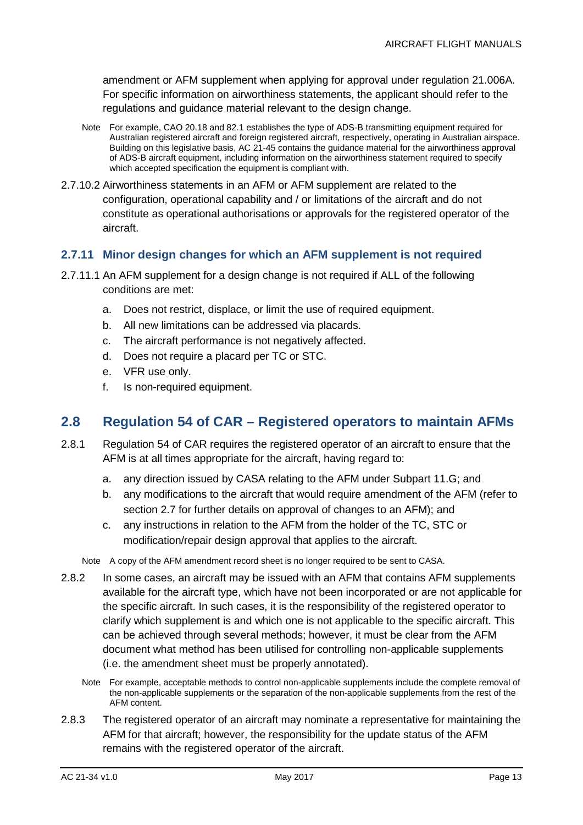amendment or AFM supplement when applying for approval under regulation 21.006A. For specific information on airworthiness statements, the applicant should refer to the regulations and guidance material relevant to the design change.

- Note For example, CAO 20.18 and 82.1 establishes the type of ADS-B transmitting equipment required for Australian registered aircraft and foreign registered aircraft, respectively, operating in Australian airspace. Building on this legislative basis, AC 21-45 contains the guidance material for the airworthiness approval of ADS-B aircraft equipment, including information on the airworthiness statement required to specify which accepted specification the equipment is compliant with.
- 2.7.10.2 Airworthiness statements in an AFM or AFM supplement are related to the configuration, operational capability and / or limitations of the aircraft and do not constitute as operational authorisations or approvals for the registered operator of the aircraft.

#### **2.7.11 Minor design changes for which an AFM supplement is not required**

- 2.7.11.1 An AFM supplement for a design change is not required if ALL of the following conditions are met:
	- a. Does not restrict, displace, or limit the use of required equipment.
	- b. All new limitations can be addressed via placards.
	- c. The aircraft performance is not negatively affected.
	- d. Does not require a placard per TC or STC.
	- e. VFR use only.
	- f. Is non-required equipment.

#### <span id="page-13-0"></span>**2.8 Regulation 54 of CAR – Registered operators to maintain AFMs**

- 2.8.1 Regulation 54 of CAR requires the registered operator of an aircraft to ensure that the AFM is at all times appropriate for the aircraft, having regard to:
	- a. any direction issued by CASA relating to the AFM under Subpart 11.G; and
	- b. any modifications to the aircraft that would require amendment of the AFM (refer to section [2.7](#page-11-0) for further details on approval of changes to an AFM); and
	- c. any instructions in relation to the AFM from the holder of the TC, STC or modification/repair design approval that applies to the aircraft.

Note A copy of the AFM amendment record sheet is no longer required to be sent to CASA.

- 2.8.2 In some cases, an aircraft may be issued with an AFM that contains AFM supplements available for the aircraft type, which have not been incorporated or are not applicable for the specific aircraft. In such cases, it is the responsibility of the registered operator to clarify which supplement is and which one is not applicable to the specific aircraft. This can be achieved through several methods; however, it must be clear from the AFM document what method has been utilised for controlling non-applicable supplements (i.e. the amendment sheet must be properly annotated).
	- Note For example, acceptable methods to control non-applicable supplements include the complete removal of the non-applicable supplements or the separation of the non-applicable supplements from the rest of the AFM content.
- 2.8.3 The registered operator of an aircraft may nominate a representative for maintaining the AFM for that aircraft; however, the responsibility for the update status of the AFM remains with the registered operator of the aircraft.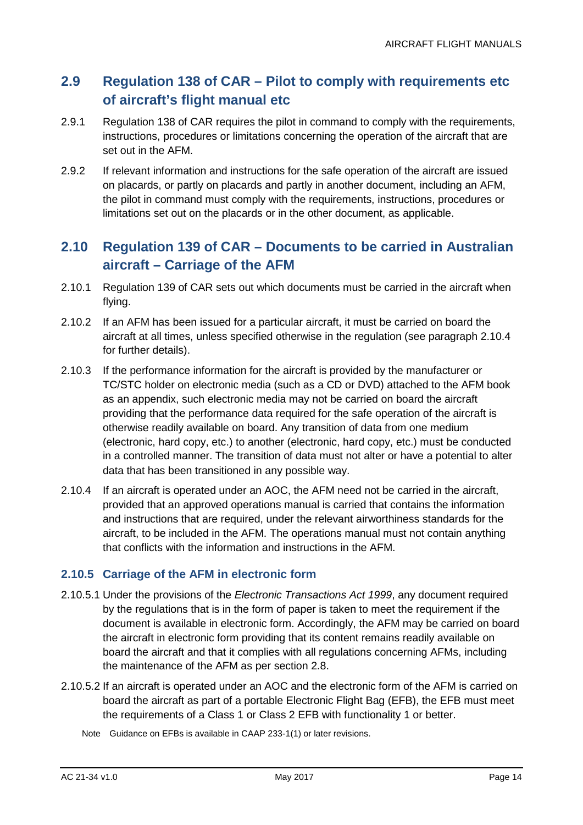### <span id="page-14-0"></span>**2.9 Regulation 138 of CAR – Pilot to comply with requirements etc of aircraft's flight manual etc**

- 2.9.1 Regulation 138 of CAR requires the pilot in command to comply with the requirements, instructions, procedures or limitations concerning the operation of the aircraft that are set out in the AFM.
- 2.9.2 If relevant information and instructions for the safe operation of the aircraft are issued on placards, or partly on placards and partly in another document, including an AFM, the pilot in command must comply with the requirements, instructions, procedures or limitations set out on the placards or in the other document, as applicable.

### <span id="page-14-1"></span>**2.10 Regulation 139 of CAR – Documents to be carried in Australian aircraft – Carriage of the AFM**

- 2.10.1 Regulation 139 of CAR sets out which documents must be carried in the aircraft when flying.
- 2.10.2 If an AFM has been issued for a particular aircraft, it must be carried on board the aircraft at all times, unless specified otherwise in the regulation (see paragraph [2.10.4](#page-14-2) for further details).
- 2.10.3 If the performance information for the aircraft is provided by the manufacturer or TC/STC holder on electronic media (such as a CD or DVD) attached to the AFM book as an appendix, such electronic media may not be carried on board the aircraft providing that the performance data required for the safe operation of the aircraft is otherwise readily available on board. Any transition of data from one medium (electronic, hard copy, etc.) to another (electronic, hard copy, etc.) must be conducted in a controlled manner. The transition of data must not alter or have a potential to alter data that has been transitioned in any possible way.
- <span id="page-14-2"></span>2.10.4 If an aircraft is operated under an AOC, the AFM need not be carried in the aircraft, provided that an approved operations manual is carried that contains the information and instructions that are required, under the relevant airworthiness standards for the aircraft, to be included in the AFM. The operations manual must not contain anything that conflicts with the information and instructions in the AFM.

#### **2.10.5 Carriage of the AFM in electronic form**

- 2.10.5.1 Under the provisions of the *Electronic Transactions Act 1999*, any document required by the regulations that is in the form of paper is taken to meet the requirement if the document is available in electronic form. Accordingly, the AFM may be carried on board the aircraft in electronic form providing that its content remains readily available on board the aircraft and that it complies with all regulations concerning AFMs, including the maintenance of the AFM as per section [2.8.](#page-13-0)
- 2.10.5.2 If an aircraft is operated under an AOC and the electronic form of the AFM is carried on board the aircraft as part of a portable Electronic Flight Bag (EFB), the EFB must meet the requirements of a Class 1 or Class 2 EFB with functionality 1 or better.
	- Note Guidance on EFBs is available in CAAP 233-1(1) or later revisions.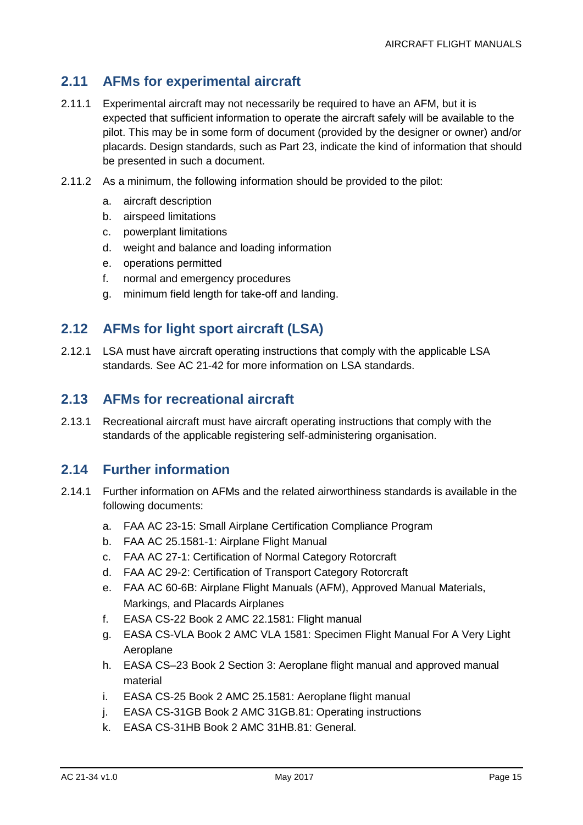### <span id="page-15-0"></span>**2.11 AFMs for experimental aircraft**

- 2.11.1 Experimental aircraft may not necessarily be required to have an AFM, but it is expected that sufficient information to operate the aircraft safely will be available to the pilot. This may be in some form of document (provided by the designer or owner) and/or placards. Design standards, such as Part 23, indicate the kind of information that should be presented in such a document.
- 2.11.2 As a minimum, the following information should be provided to the pilot:
	- a. aircraft description
	- b. airspeed limitations
	- c. powerplant limitations
	- d. weight and balance and loading information
	- e. operations permitted
	- f. normal and emergency procedures
	- g. minimum field length for take-off and landing.

### <span id="page-15-1"></span>**2.12 AFMs for light sport aircraft (LSA)**

2.12.1 LSA must have aircraft operating instructions that comply with the applicable LSA standards. See AC 21-42 for more information on LSA standards.

#### <span id="page-15-2"></span>**2.13 AFMs for recreational aircraft**

2.13.1 Recreational aircraft must have aircraft operating instructions that comply with the standards of the applicable registering self-administering organisation.

#### <span id="page-15-3"></span>**2.14 Further information**

- 2.14.1 Further information on AFMs and the related airworthiness standards is available in the following documents:
	- a. FAA AC 23-15: Small Airplane Certification Compliance Program
	- b. FAA AC 25.1581-1: Airplane Flight Manual
	- c. FAA AC 27-1: Certification of Normal Category Rotorcraft
	- d. FAA AC 29-2: Certification of Transport Category Rotorcraft
	- e. FAA AC 60-6B: Airplane Flight Manuals (AFM), Approved Manual Materials, Markings, and Placards Airplanes
	- f. EASA CS-22 Book 2 AMC 22.1581: Flight manual
	- g. EASA CS-VLA Book 2 AMC VLA 1581: Specimen Flight Manual For A Very Light Aeroplane
	- h. EASA CS–23 Book 2 Section 3: Aeroplane flight manual and approved manual material
	- i. EASA CS-25 Book 2 AMC 25.1581: Aeroplane flight manual
	- j. EASA CS-31GB Book 2 AMC 31GB.81: Operating instructions
	- k. EASA CS-31HB Book 2 AMC 31HB.81: General.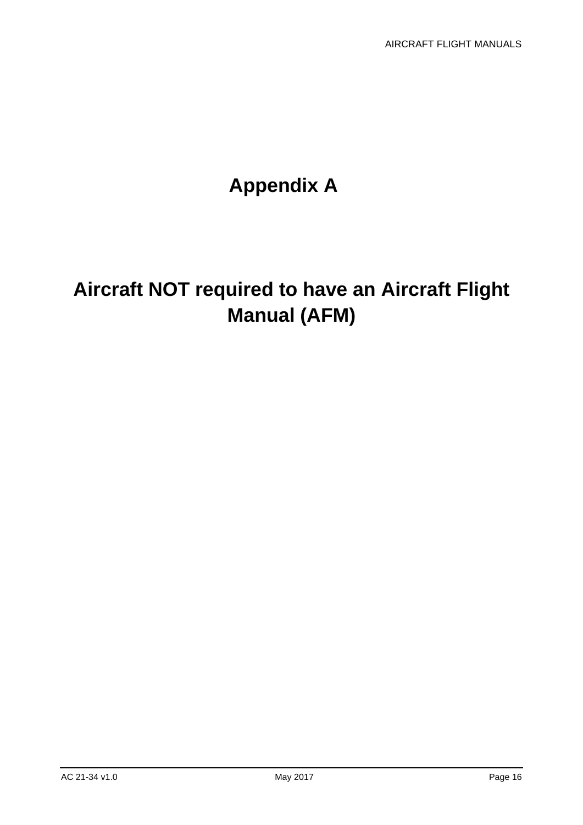# **Appendix A**

# <span id="page-16-0"></span>**Aircraft NOT required to have an Aircraft Flight Manual (AFM)**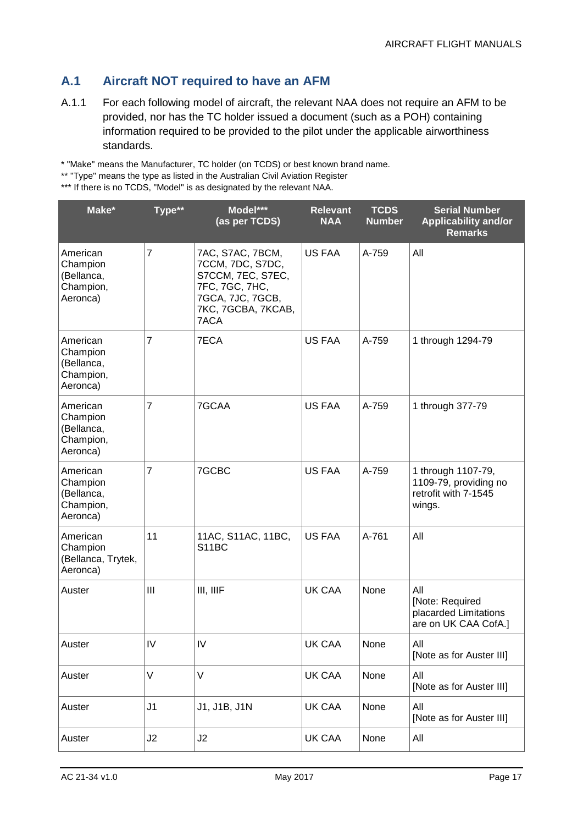### **A.1 Aircraft NOT required to have an AFM**

A.1.1 For each following model of aircraft, the relevant NAA does not require an AFM to be provided, nor has the TC holder issued a document (such as a POH) containing information required to be provided to the pilot under the applicable airworthiness standards.

\* "Make" means the Manufacturer, TC holder (on TCDS) or best known brand name.

<sup>\*\*\*</sup> If there is no TCDS, "Model" is as designated by the relevant NAA.

| Make*                                                       | Type**         | Model***<br>(as per TCDS)                                                                                                     | <b>Relevant</b><br><b>NAA</b> | <b>TCDS</b><br><b>Number</b> | <b>Serial Number</b><br><b>Applicability and/or</b><br><b>Remarks</b>         |
|-------------------------------------------------------------|----------------|-------------------------------------------------------------------------------------------------------------------------------|-------------------------------|------------------------------|-------------------------------------------------------------------------------|
| American<br>Champion<br>(Bellanca,<br>Champion,<br>Aeronca) | $\overline{7}$ | 7AC, S7AC, 7BCM,<br>7CCM, 7DC, S7DC,<br>S7CCM, 7EC, S7EC,<br>7FC, 7GC, 7HC,<br>7GCA, 7JC, 7GCB,<br>7KC, 7GCBA, 7KCAB,<br>7ACA | <b>US FAA</b>                 | A-759                        | All                                                                           |
| American<br>Champion<br>(Bellanca,<br>Champion,<br>Aeronca) | $\overline{7}$ | 7ECA                                                                                                                          | <b>US FAA</b>                 | A-759                        | 1 through 1294-79                                                             |
| American<br>Champion<br>(Bellanca,<br>Champion,<br>Aeronca) | $\overline{7}$ | 7GCAA                                                                                                                         | <b>US FAA</b>                 | A-759                        | 1 through 377-79                                                              |
| American<br>Champion<br>(Bellanca,<br>Champion,<br>Aeronca) | $\overline{7}$ | 7GCBC                                                                                                                         | <b>US FAA</b>                 | A-759                        | 1 through 1107-79,<br>1109-79, providing no<br>retrofit with 7-1545<br>wings. |
| American<br>Champion<br>(Bellanca, Trytek,<br>Aeronca)      | 11             | 11AC, S11AC, 11BC,<br>S11BC                                                                                                   | <b>US FAA</b>                 | A-761                        | All                                                                           |
| Auster                                                      | III            | III, IIIF                                                                                                                     | <b>UK CAA</b>                 | None                         | All<br>[Note: Required<br>placarded Limitations<br>are on UK CAA CofA.]       |
| Auster                                                      | IV             | ${\sf IV}$                                                                                                                    | UK CAA                        | None                         | All<br>[Note as for Auster III]                                               |
| Auster                                                      | V              | $\vee$                                                                                                                        | UK CAA                        | None                         | All<br>[Note as for Auster III]                                               |
| Auster                                                      | J <sub>1</sub> | J1, J1B, J1N                                                                                                                  | UK CAA                        | None                         | All<br>[Note as for Auster III]                                               |
| Auster                                                      | J2             | J2                                                                                                                            | UK CAA                        | None                         | All                                                                           |

<sup>\*\* &</sup>quot;Type" means the type as listed in the Australian Civil Aviation Register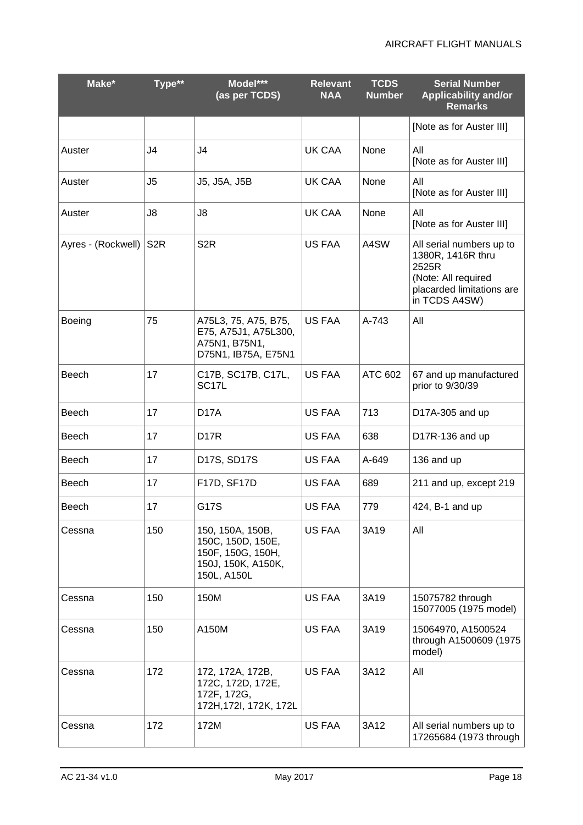| Make*              | Type**           | Model***<br>(as per TCDS)                                                                       | <b>Relevant</b><br><b>NAA</b> | <b>TCDS</b><br><b>Number</b> | <b>Serial Number</b><br><b>Applicability and/or</b><br><b>Remarks</b>                                                       |
|--------------------|------------------|-------------------------------------------------------------------------------------------------|-------------------------------|------------------------------|-----------------------------------------------------------------------------------------------------------------------------|
|                    |                  |                                                                                                 |                               |                              | [Note as for Auster III]                                                                                                    |
| Auster             | J4               | J <sub>4</sub>                                                                                  | UK CAA                        | None                         | All<br>[Note as for Auster III]                                                                                             |
| Auster             | J <sub>5</sub>   | J5, J5A, J5B                                                                                    | UK CAA                        | None                         | All<br>[Note as for Auster III]                                                                                             |
| Auster             | J8               | J8                                                                                              | UK CAA                        | None                         | All<br>[Note as for Auster III]                                                                                             |
| Ayres - (Rockwell) | S <sub>2</sub> R | S <sub>2R</sub>                                                                                 | <b>US FAA</b>                 | A4SW                         | All serial numbers up to<br>1380R, 1416R thru<br>2525R<br>(Note: All required<br>placarded limitations are<br>in TCDS A4SW) |
| <b>Boeing</b>      | 75               | A75L3, 75, A75, B75,<br>E75, A75J1, A75L300,<br>A75N1, B75N1,<br>D75N1, IB75A, E75N1            | <b>US FAA</b>                 | A-743                        | All                                                                                                                         |
| Beech              | 17               | C17B, SC17B, C17L,<br>SC <sub>17L</sub>                                                         | US FAA                        | ATC 602                      | 67 and up manufactured<br>prior to 9/30/39                                                                                  |
| Beech              | 17               | D <sub>17</sub> A                                                                               | <b>US FAA</b>                 | 713                          | D17A-305 and up                                                                                                             |
| Beech              | 17               | D <sub>17</sub> R                                                                               | US FAA                        | 638                          | D17R-136 and up                                                                                                             |
| <b>Beech</b>       | 17               | D17S, SD17S                                                                                     | US FAA                        | A-649                        | 136 and up                                                                                                                  |
| Beech              | 17               | F17D, SF17D                                                                                     | <b>US FAA</b>                 | 689                          | 211 and up, except 219                                                                                                      |
| <b>Beech</b>       | 17               | G17S                                                                                            | <b>US FAA</b>                 | 779                          | 424, B-1 and up                                                                                                             |
| Cessna             | 150              | 150, 150A, 150B,<br>150C, 150D, 150E,<br>150F, 150G, 150H,<br>150J, 150K, A150K,<br>150L, A150L | <b>US FAA</b>                 | 3A19                         | All                                                                                                                         |
| Cessna             | 150              | 150M                                                                                            | <b>US FAA</b>                 | 3A19                         | 15075782 through<br>15077005 (1975 model)                                                                                   |
| Cessna             | 150              | A150M                                                                                           | <b>US FAA</b>                 | 3A19                         | 15064970, A1500524<br>through A1500609 (1975<br>model)                                                                      |
| Cessna             | 172              | 172, 172A, 172B,<br>172C, 172D, 172E,<br>172F, 172G,<br>172H, 172I, 172K, 172L                  | <b>US FAA</b>                 | 3A12                         | All                                                                                                                         |
| Cessna             | 172              | 172M                                                                                            | <b>US FAA</b>                 | 3A12                         | All serial numbers up to<br>17265684 (1973 through                                                                          |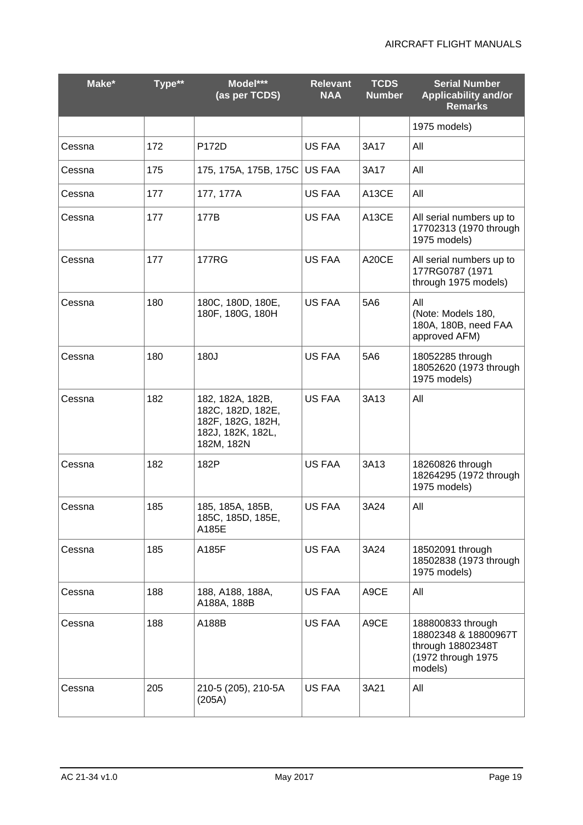| Make*  | Type** | Model***<br>(as per TCDS)                                                                     | <b>Relevant</b><br><b>NAA</b> | <b>TCDS</b><br><b>Number</b> | <b>Serial Number</b><br><b>Applicability and/or</b><br><b>Remarks</b>                           |
|--------|--------|-----------------------------------------------------------------------------------------------|-------------------------------|------------------------------|-------------------------------------------------------------------------------------------------|
|        |        |                                                                                               |                               |                              | 1975 models)                                                                                    |
| Cessna | 172    | P172D                                                                                         | <b>US FAA</b>                 | 3A17                         | All                                                                                             |
| Cessna | 175    | 175, 175A, 175B, 175C                                                                         | <b>US FAA</b>                 | 3A17                         | All                                                                                             |
| Cessna | 177    | 177, 177A                                                                                     | <b>US FAA</b>                 | A <sub>13</sub> CE           | All                                                                                             |
| Cessna | 177    | 177B                                                                                          | <b>US FAA</b>                 | A13CE                        | All serial numbers up to<br>17702313 (1970 through<br>1975 models)                              |
| Cessna | 177    | <b>177RG</b>                                                                                  | <b>US FAA</b>                 | A20CE                        | All serial numbers up to<br>177RG0787 (1971<br>through 1975 models)                             |
| Cessna | 180    | 180C, 180D, 180E,<br>180F, 180G, 180H                                                         | <b>US FAA</b>                 | 5A6                          | All<br>(Note: Models 180,<br>180A, 180B, need FAA<br>approved AFM)                              |
| Cessna | 180    | 180J                                                                                          | <b>US FAA</b>                 | 5A6                          | 18052285 through<br>18052620 (1973 through<br>1975 models)                                      |
| Cessna | 182    | 182, 182A, 182B,<br>182C, 182D, 182E,<br>182F, 182G, 182H,<br>182J, 182K, 182L,<br>182M, 182N | <b>US FAA</b>                 | 3A13                         | All                                                                                             |
| Cessna | 182    | 182P                                                                                          | <b>US FAA</b>                 | 3A13                         | 18260826 through<br>18264295 (1972 through<br>1975 models)                                      |
| Cessna | 185    | 185, 185A, 185B,<br>185C, 185D, 185E,<br>A185E                                                | <b>US FAA</b>                 | 3A24                         | All                                                                                             |
| Cessna | 185    | A185F                                                                                         | <b>US FAA</b>                 | 3A24                         | 18502091 through<br>18502838 (1973 through<br>1975 models)                                      |
| Cessna | 188    | 188, A188, 188A,<br>A188A, 188B                                                               | US FAA                        | A9CE                         | All                                                                                             |
| Cessna | 188    | A188B                                                                                         | <b>US FAA</b>                 | A9CE                         | 188800833 through<br>18802348 & 18800967T<br>through 18802348T<br>(1972 through 1975<br>models) |
| Cessna | 205    | 210-5 (205), 210-5A<br>(205A)                                                                 | US FAA                        | 3A21                         | All                                                                                             |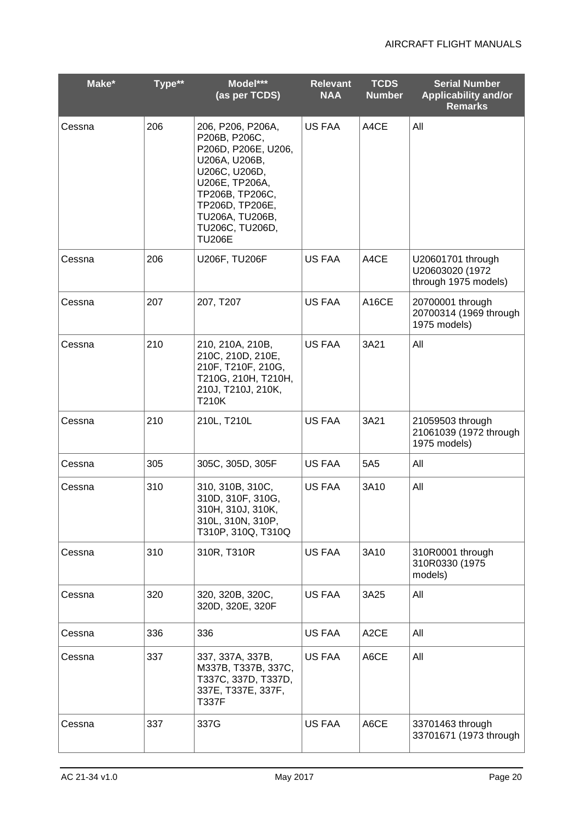| Make*  | $T$ vpe $**$ | Model***<br>(as per TCDS)                                                                                                                                                                                  | <b>Relevant</b><br><b>NAA</b> | <b>TCDS</b><br><b>Number</b> | <b>Serial Number</b><br><b>Applicability and/or</b><br><b>Remarks</b> |
|--------|--------------|------------------------------------------------------------------------------------------------------------------------------------------------------------------------------------------------------------|-------------------------------|------------------------------|-----------------------------------------------------------------------|
| Cessna | 206          | 206, P206, P206A,<br>P206B, P206C,<br>P206D, P206E, U206,<br>U206A, U206B,<br>U206C, U206D,<br>U206E, TP206A,<br>TP206B, TP206C,<br>TP206D, TP206E,<br>TU206A, TU206B,<br>TU206C, TU206D,<br><b>TU206E</b> | <b>US FAA</b>                 | A4CE                         | All                                                                   |
| Cessna | 206          | U206F, TU206F                                                                                                                                                                                              | <b>US FAA</b>                 | A4CE                         | U20601701 through<br>U20603020 (1972<br>through 1975 models)          |
| Cessna | 207          | 207, T207                                                                                                                                                                                                  | <b>US FAA</b>                 | A <sub>16</sub> CE           | 20700001 through<br>20700314 (1969 through<br>1975 models)            |
| Cessna | 210          | 210, 210A, 210B,<br>210C, 210D, 210E,<br>210F, T210F, 210G,<br>T210G, 210H, T210H,<br>210J, T210J, 210K,<br>T210K                                                                                          | <b>US FAA</b>                 | 3A21                         | All                                                                   |
| Cessna | 210          | 210L, T210L                                                                                                                                                                                                | <b>US FAA</b>                 | 3A21                         | 21059503 through<br>21061039 (1972 through<br>1975 models)            |
| Cessna | 305          | 305C, 305D, 305F                                                                                                                                                                                           | <b>US FAA</b>                 | 5A <sub>5</sub>              | All                                                                   |
| Cessna | 310          | 310, 310B, 310C,<br>310D, 310F, 310G,<br>310H, 310J, 310K,<br>310L, 310N, 310P,<br>T310P, 310Q, T310Q                                                                                                      | <b>US FAA</b>                 | 3A10                         | All                                                                   |
| Cessna | 310          | 310R, T310R                                                                                                                                                                                                | <b>US FAA</b>                 | 3A10                         | 310R0001 through<br>310R0330 (1975<br>models)                         |
| Cessna | 320          | 320, 320B, 320C,<br>320D, 320E, 320F                                                                                                                                                                       | <b>US FAA</b>                 | 3A25                         | All                                                                   |
| Cessna | 336          | 336                                                                                                                                                                                                        | US FAA                        | A <sub>2</sub> CE            | All                                                                   |
| Cessna | 337          | 337, 337A, 337B,<br>M337B, T337B, 337C,<br>T337C, 337D, T337D,<br>337E, T337E, 337F,<br><b>T337F</b>                                                                                                       | US FAA                        | A6CE                         | All                                                                   |
| Cessna | 337          | 337G                                                                                                                                                                                                       | <b>US FAA</b>                 | A6CE                         | 33701463 through<br>33701671 (1973 through                            |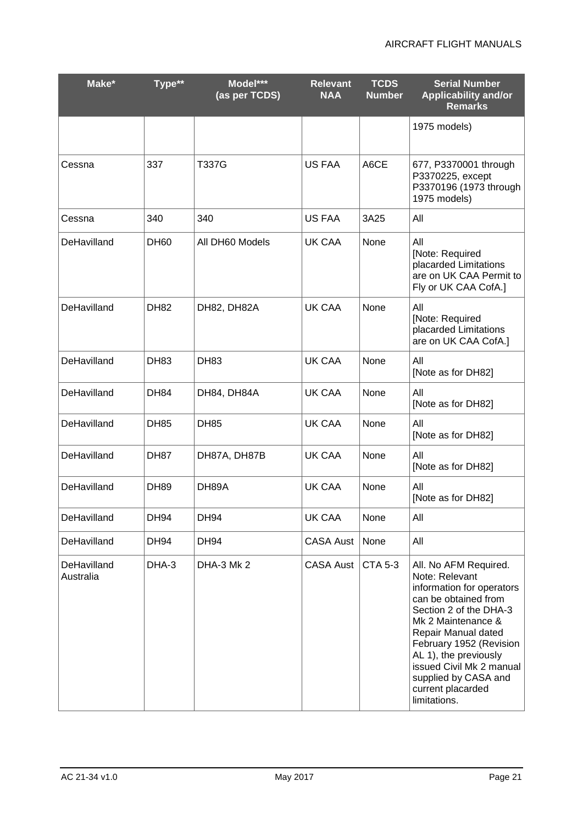| Make*                    | Type**      | Model***<br>(as per TCDS) | <b>Relevant</b><br><b>NAA</b> | <b>TCDS</b><br><b>Number</b> | <b>Serial Number</b><br><b>Applicability and/or</b><br><b>Remarks</b>                                                                                                                                                                                                                                            |
|--------------------------|-------------|---------------------------|-------------------------------|------------------------------|------------------------------------------------------------------------------------------------------------------------------------------------------------------------------------------------------------------------------------------------------------------------------------------------------------------|
|                          |             |                           |                               |                              | 1975 models)                                                                                                                                                                                                                                                                                                     |
| Cessna                   | 337         | <b>T337G</b>              | <b>US FAA</b>                 | A6CE                         | 677, P3370001 through<br>P3370225, except<br>P3370196 (1973 through<br>1975 models)                                                                                                                                                                                                                              |
| Cessna                   | 340         | 340                       | <b>US FAA</b>                 | 3A25                         | All                                                                                                                                                                                                                                                                                                              |
| DeHavilland              | <b>DH60</b> | All DH60 Models           | UK CAA                        | None                         | All<br>[Note: Required<br>placarded Limitations<br>are on UK CAA Permit to<br>Fly or UK CAA CofA.]                                                                                                                                                                                                               |
| DeHavilland              | <b>DH82</b> | DH82, DH82A               | UK CAA                        | None                         | All<br>[Note: Required<br>placarded Limitations<br>are on UK CAA CofA.]                                                                                                                                                                                                                                          |
| DeHavilland              | <b>DH83</b> | <b>DH83</b>               | UK CAA                        | None                         | All<br>[Note as for DH82]                                                                                                                                                                                                                                                                                        |
| DeHavilland              | <b>DH84</b> | DH84, DH84A               | <b>UK CAA</b>                 | None                         | All<br>[Note as for DH82]                                                                                                                                                                                                                                                                                        |
| DeHavilland              | <b>DH85</b> | <b>DH85</b>               | <b>UK CAA</b>                 | None                         | All<br>[Note as for DH82]                                                                                                                                                                                                                                                                                        |
| DeHavilland              | <b>DH87</b> | DH87A, DH87B              | <b>UK CAA</b>                 | None                         | All<br>[Note as for DH82]                                                                                                                                                                                                                                                                                        |
| DeHavilland              | <b>DH89</b> | DH89A                     | <b>UK CAA</b>                 | None                         | All<br>[Note as for DH82]                                                                                                                                                                                                                                                                                        |
| DeHavilland              | <b>DH94</b> | DH94                      | <b>UK CAA</b>                 | None                         | All                                                                                                                                                                                                                                                                                                              |
| DeHavilland              | <b>DH94</b> | <b>DH94</b>               | <b>CASA Aust</b>              | None                         | All                                                                                                                                                                                                                                                                                                              |
| DeHavilland<br>Australia | DHA-3       | DHA-3 Mk 2                | <b>CASA Aust</b>              | <b>CTA 5-3</b>               | All. No AFM Required.<br>Note: Relevant<br>information for operators<br>can be obtained from<br>Section 2 of the DHA-3<br>Mk 2 Maintenance &<br>Repair Manual dated<br>February 1952 (Revision<br>AL 1), the previously<br>issued Civil Mk 2 manual<br>supplied by CASA and<br>current placarded<br>limitations. |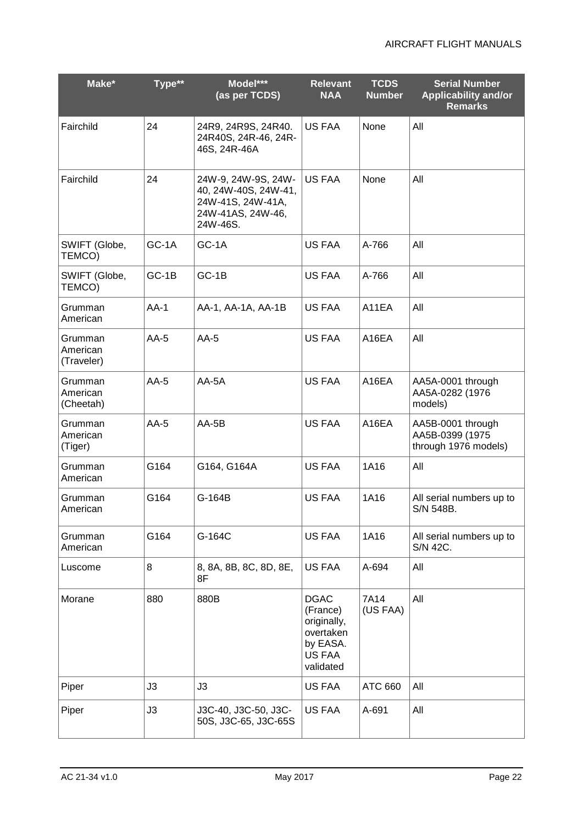| Make*                             | Type** | Model***<br>(as per TCDS)                                                                         | <b>Relevant</b><br><b>NAA</b>                                                                 | <b>TCDS</b><br><b>Number</b> | <b>Serial Number</b><br><b>Applicability and/or</b><br><b>Remarks</b> |
|-----------------------------------|--------|---------------------------------------------------------------------------------------------------|-----------------------------------------------------------------------------------------------|------------------------------|-----------------------------------------------------------------------|
| Fairchild                         | 24     | 24R9, 24R9S, 24R40.<br>24R40S, 24R-46, 24R-<br>46S, 24R-46A                                       | <b>US FAA</b>                                                                                 | None                         | All                                                                   |
| Fairchild                         | 24     | 24W-9, 24W-9S, 24W-<br>40, 24W-40S, 24W-41,<br>24W-41S, 24W-41A,<br>24W-41AS, 24W-46,<br>24W-46S. | US FAA                                                                                        | None                         | All                                                                   |
| SWIFT (Globe,<br>TEMCO)           | GC-1A  | GC-1A                                                                                             | US FAA                                                                                        | A-766                        | All                                                                   |
| SWIFT (Globe,<br>TEMCO)           | GC-1B  | GC-1B                                                                                             | <b>US FAA</b>                                                                                 | A-766                        | All                                                                   |
| Grumman<br>American               | $AA-1$ | AA-1, AA-1A, AA-1B                                                                                | <b>US FAA</b>                                                                                 | A11EA                        | All                                                                   |
| Grumman<br>American<br>(Traveler) | $AA-5$ | $AA-5$                                                                                            | <b>US FAA</b>                                                                                 | A16EA                        | All                                                                   |
| Grumman<br>American<br>(Cheetah)  | $AA-5$ | AA-5A                                                                                             | <b>US FAA</b>                                                                                 | A16EA                        | AA5A-0001 through<br>AA5A-0282 (1976<br>models)                       |
| Grumman<br>American<br>(Tiger)    | $AA-5$ | $AA-5B$                                                                                           | <b>US FAA</b>                                                                                 | A16EA                        | AA5B-0001 through<br>AA5B-0399 (1975<br>through 1976 models)          |
| Grumman<br>American               | G164   | G164, G164A                                                                                       | <b>US FAA</b>                                                                                 | 1A16                         | All                                                                   |
| Grumman<br>American               | G164   | G-164B                                                                                            | <b>US FAA</b>                                                                                 | 1A16                         | All serial numbers up to<br>S/N 548B.                                 |
| Grumman<br>American               | G164   | G-164C                                                                                            | <b>US FAA</b>                                                                                 | 1A16                         | All serial numbers up to<br>S/N 42C.                                  |
| Luscome                           | 8      | 8, 8A, 8B, 8C, 8D, 8E,<br>8F                                                                      | <b>US FAA</b>                                                                                 | A-694                        | All                                                                   |
| Morane                            | 880    | 880B                                                                                              | <b>DGAC</b><br>(France)<br>originally,<br>overtaken<br>by EASA.<br><b>US FAA</b><br>validated | 7A14<br>(US FAA)             | All                                                                   |
| Piper                             | J3     | J3                                                                                                | US FAA                                                                                        | <b>ATC 660</b>               | All                                                                   |
| Piper                             | J3     | J3C-40, J3C-50, J3C-<br>50S, J3C-65, J3C-65S                                                      | <b>US FAA</b>                                                                                 | A-691                        | All                                                                   |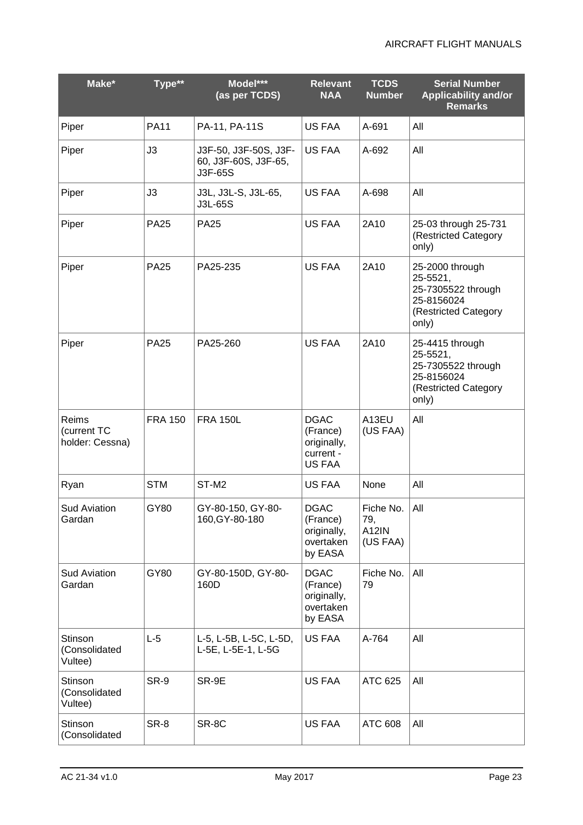| Make*                                   | Type**         | Model***<br>(as per TCDS)                                | <b>Relevant</b><br><b>NAA</b>                                        | <b>TCDS</b><br><b>Number</b>                 | <b>Serial Number</b><br><b>Applicability and/or</b><br><b>Remarks</b>                            |
|-----------------------------------------|----------------|----------------------------------------------------------|----------------------------------------------------------------------|----------------------------------------------|--------------------------------------------------------------------------------------------------|
| Piper                                   | <b>PA11</b>    | PA-11, PA-11S                                            | <b>US FAA</b>                                                        | A-691                                        | All                                                                                              |
| Piper                                   | J3             | J3F-50, J3F-50S, J3F-<br>60, J3F-60S, J3F-65,<br>J3F-65S | <b>US FAA</b>                                                        | A-692                                        | All                                                                                              |
| Piper                                   | J3             | J3L, J3L-S, J3L-65,<br>J3L-65S                           | <b>US FAA</b>                                                        | A-698                                        | All                                                                                              |
| Piper                                   | <b>PA25</b>    | <b>PA25</b>                                              | <b>US FAA</b>                                                        | 2A10                                         | 25-03 through 25-731<br>(Restricted Category<br>only)                                            |
| Piper                                   | <b>PA25</b>    | PA25-235                                                 | <b>US FAA</b>                                                        | 2A10                                         | 25-2000 through<br>25-5521,<br>25-7305522 through<br>25-8156024<br>(Restricted Category<br>only) |
| Piper                                   | <b>PA25</b>    | PA25-260                                                 | <b>US FAA</b>                                                        | 2A10                                         | 25-4415 through<br>25-5521,<br>25-7305522 through<br>25-8156024<br>(Restricted Category<br>only) |
| Reims<br>(current TC<br>holder: Cessna) | <b>FRA 150</b> | <b>FRA 150L</b>                                          | <b>DGAC</b><br>(France)<br>originally,<br>current -<br><b>US FAA</b> | A13EU<br>(US FAA)                            | All                                                                                              |
| Ryan                                    | <b>STM</b>     | ST-M <sub>2</sub>                                        | US FAA                                                               | None                                         | All                                                                                              |
| <b>Sud Aviation</b><br>Gardan           | GY80           | GY-80-150, GY-80-<br>160, GY-80-180                      | <b>DGAC</b><br>(France)<br>originally,<br>overtaken<br>by EASA       | Fiche No.<br>79,<br><b>A12IN</b><br>(US FAA) | All                                                                                              |
| <b>Sud Aviation</b><br>Gardan           | GY80           | GY-80-150D, GY-80-<br>160D                               | <b>DGAC</b><br>(France)<br>originally,<br>overtaken<br>by EASA       | Fiche No.<br>79                              | All                                                                                              |
| Stinson<br>(Consolidated<br>Vultee)     | $L-5$          | L-5, L-5B, L-5C, L-5D,<br>L-5E, L-5E-1, L-5G             | US FAA                                                               | A-764                                        | All                                                                                              |
| Stinson<br>(Consolidated<br>Vultee)     | SR-9           | SR-9E                                                    | <b>US FAA</b>                                                        | ATC 625                                      | All                                                                                              |
| Stinson<br>(Consolidated                | SR-8           | SR-8C                                                    | US FAA                                                               | <b>ATC 608</b>                               | All                                                                                              |